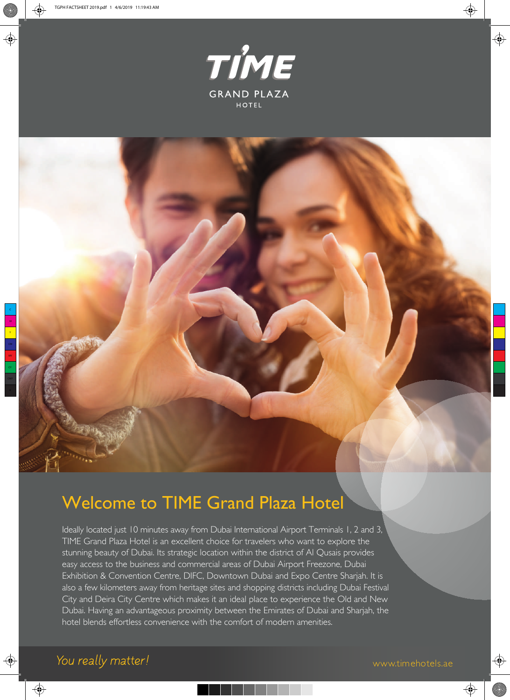

 $\bigoplus$ 

⊕

⊕

# Welcome to TIME Grand Plaza Hotel

Ideally located just 10 minutes away from Dubai International Airport Terminals 1, 2 and 3, TIME Grand Plaza Hotel is an excellent choice for travelers who want to explore the stunning beauty of Dubai. Its strategic location within the district of Al Qusais provides easy access to the business and commercial areas of Dubai Airport Freezone, Dubai Exhibition & Convention Centre, DIFC, Downtown Dubai and Expo Centre Sharjah. It is also a few kilometers away from heritage sites and shopping districts including Dubai Festival City and Deira City Centre which makes it an ideal place to experience the Old and New Dubai. Having an advantageous proximity between the Emirates of Dubai and Sharjah, the hotel blends effortless convenience with the comfort of modern amenities.

**I** 

⊕

⊕